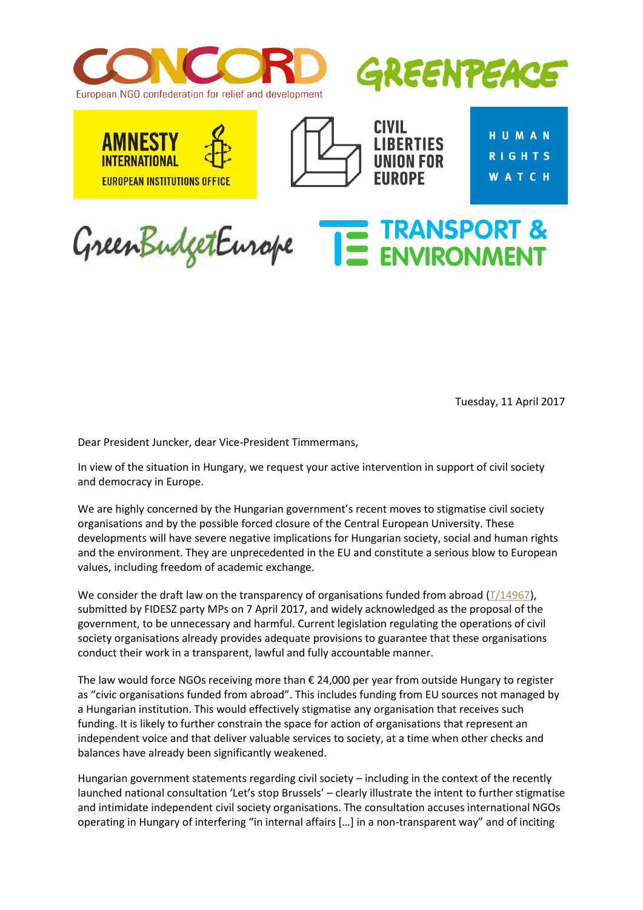



TRANSPORT &

**EUROPEAN INSTITUTIONS OFFICE** 



**CIVIL LIBERTIES** FIIRNPF

**HUMAN RIGHTS WATCH** 

GreenBudgetEurope

Tuesday, 11 April 2017

Dear President Juncker, dear Vice-President Timmermans,

In view of the situation in Hungary, we request your active intervention in support of civil society and democracy in Europe.

We are highly concerned by the Hungarian government's recent moves to stigmatise civil society organisations and by the possible forced closure of the Central European University. These developments will have severe negative implications for Hungarian society, social and human rights and the environment. They are unprecedented in the EU and constitute a serious blow to European values, including freedom of academic exchange.

We consider the draft law on the transparency of organisations funded from abroad  $(T/14967)$ , submitted by FIDESZ party MPs on 7 April 2017, and widely acknowledged as the proposal of the government, to be unnecessary and harmful. Current legislation regulating the operations of civil society organisations already provides adequate provisions to guarantee that these organisations conduct their work in a transparent, lawful and fully accountable manner.

The law would force NGOs receiving more than € 24,000 per year from outside Hungary to register as "civic organisations funded from abroad". This includes funding from EU sources not managed by a Hungarian institution. This would effectively stigmatise any organisation that receives such funding. It is likely to further constrain the space for action of organisations that represent an independent voice and that deliver valuable services to society, at a time when other checks and balances have already been significantly weakened.

Hungarian government statements regarding civil society – including in the context of the recently launched national consultation 'Let's stop Brussels' – clearly illustrate the intent to further stigmatise and intimidate independent civil society organisations. The consultation accuses international NGOs operating in Hungary of interfering "in internal affairs […] in a non-transparent way" and of inciting